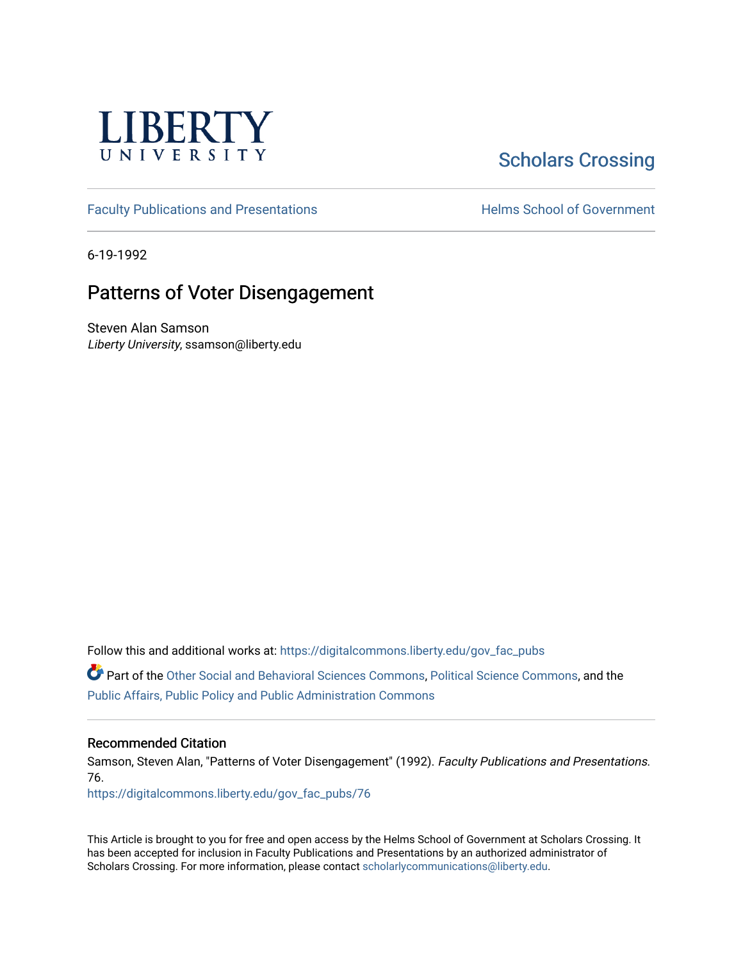

# [Scholars Crossing](https://digitalcommons.liberty.edu/)

[Faculty Publications and Presentations](https://digitalcommons.liberty.edu/gov_fac_pubs) **Exercise School of Government** 

6-19-1992

# Patterns of Voter Disengagement

Steven Alan Samson Liberty University, ssamson@liberty.edu

Follow this and additional works at: [https://digitalcommons.liberty.edu/gov\\_fac\\_pubs](https://digitalcommons.liberty.edu/gov_fac_pubs?utm_source=digitalcommons.liberty.edu%2Fgov_fac_pubs%2F76&utm_medium=PDF&utm_campaign=PDFCoverPages)

Part of the [Other Social and Behavioral Sciences Commons](http://network.bepress.com/hgg/discipline/437?utm_source=digitalcommons.liberty.edu%2Fgov_fac_pubs%2F76&utm_medium=PDF&utm_campaign=PDFCoverPages), [Political Science Commons](http://network.bepress.com/hgg/discipline/386?utm_source=digitalcommons.liberty.edu%2Fgov_fac_pubs%2F76&utm_medium=PDF&utm_campaign=PDFCoverPages), and the [Public Affairs, Public Policy and Public Administration Commons](http://network.bepress.com/hgg/discipline/393?utm_source=digitalcommons.liberty.edu%2Fgov_fac_pubs%2F76&utm_medium=PDF&utm_campaign=PDFCoverPages)

### Recommended Citation

Samson, Steven Alan, "Patterns of Voter Disengagement" (1992). Faculty Publications and Presentations. 76.

[https://digitalcommons.liberty.edu/gov\\_fac\\_pubs/76](https://digitalcommons.liberty.edu/gov_fac_pubs/76?utm_source=digitalcommons.liberty.edu%2Fgov_fac_pubs%2F76&utm_medium=PDF&utm_campaign=PDFCoverPages) 

This Article is brought to you for free and open access by the Helms School of Government at Scholars Crossing. It has been accepted for inclusion in Faculty Publications and Presentations by an authorized administrator of Scholars Crossing. For more information, please contact [scholarlycommunications@liberty.edu.](mailto:scholarlycommunications@liberty.edu)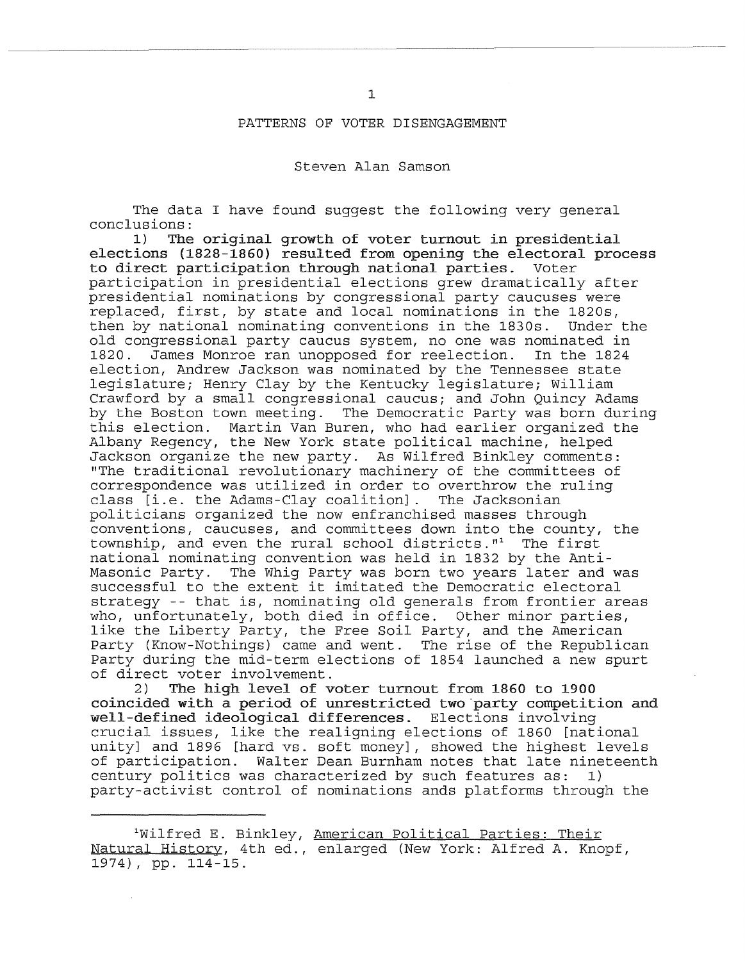#### PATTERNS OF VOTER DISENGAGEMENT

#### Steven Alan Samson

The data I have found suggest the following very general conclusions:<br>1) The

The original growth of voter turnout in presidential elections {1828-1860} resulted from opening the electoral process to direct participation through national parties. Voter participation in presidential elections grew dramatically after presidential nominations by congressional party caucuses were replaced, first, by state and local nominations in the 1820s, then by national nominating conventions in the 1830s. old congressional party caucus system, no one was nominated in James Monroe ran unopposed for reelection. election, Andrew Jackson was nominated by the Tennessee state legislature; Henry Clay by the Kentucky legislature; William Crawford by a small congressional caucus; and John Quincy Adams by the Boston town meeting. The Democratic Party was born during this election. Martin Van Buren, who had earlier organized the Albany Regency, the New York state political machine, helped Jackson organize the new party. As Wilfred Binkley comments: "The traditional revolutionary machinery of the committees of correspondence was utilized in order to overthrow the ruling class [i.e. the Adams-Clay coalition]. The Jacksonian politicians organized the now enfranchised masses through conventions, caucuses, and committees down into the county, the township, and even the rural school districts."<sup>1</sup> The first national nominating convention was held in 1832 by the Anti-Masonic Party. The Whig Party was born two years later and was successful to the extent it imitated the Democratic electoral strategy -- that is, nominating old generals from frontier areas who, unfortunately, both died in office. Other minor parties, like the Liberty Party, the Free Soil Party, and the American Party (Know-Nothings) came and went. The rise of the Republican Party during the mid-term elections of 1854 launched a new spurt of direct voter involvement.

2) The high level of voter turnout from 1860 to 1900 coincided with a period of unrestricted two 'party competition and well-defined ideological differences. Elections involving crucial issues, like the realigning elections of 1860 [national unity] and 1896 [hard vs. soft money], showed the highest levels of participation. Walter Dean Burnham notes that late nineteenth century politics was characterized by such features as: 1) party-activist control of nominations ands platforms through the

lWilfred E. Binkley, American Political Parties: Their Natural History, 4th ed., enlarged (New York: Alfred A. Knopf, 1974), pp. 114-15.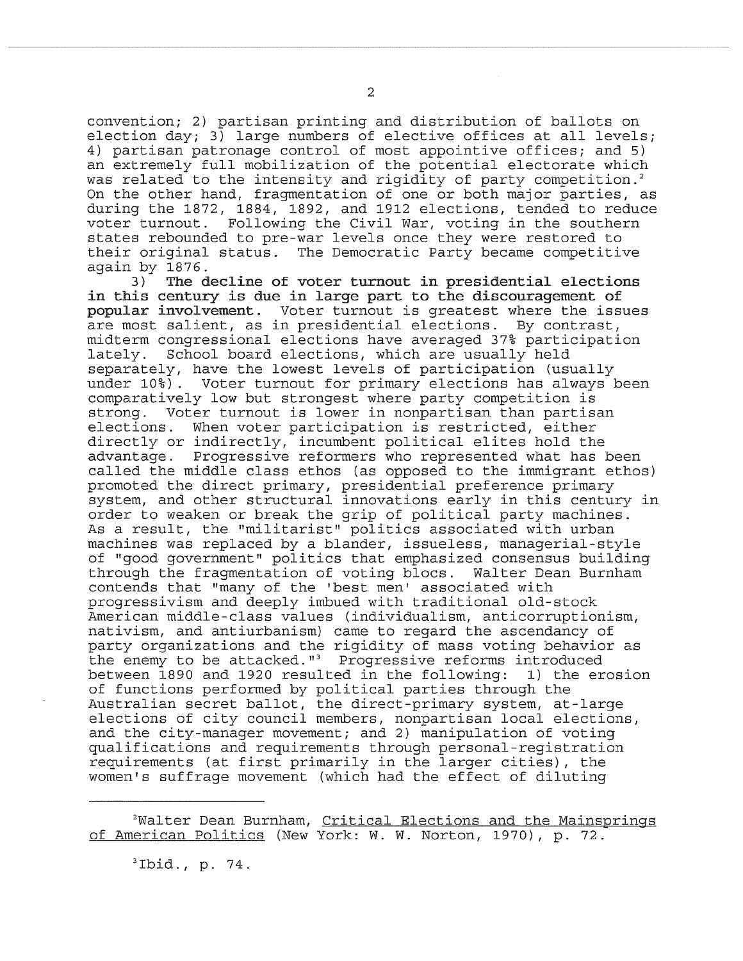convention; 2) partisan printing and distribution of ballots on election day; 3) large numbers of elective offices at all levels; 4) partisan patronage control of most appointive offices; and 5) an extremely full mobilization of the potential electorate which was related to the intensity and rigidity of party competition.<sup>2</sup> On the other hand, fragmentation of one or both major parties, as during the 1872, 1884, 1892, and 1912 elections, tended to reduce voter turnout. Following the Civil War, voting in the southern states rebounded to pre-war levels once they were restored to their original status. The Democratic Party became competitive

again by  $1876$ .<br>3) The d The decline of voter turnout in presidential elections in this century is due in large part to the discouragement of popular involvement. Voter turnout is greatest where the issues are most salient, as in presidential elections. By contrast, midterm congressional elections have averaged 37% participation School board elections, which are usually held separately, have the lowest levels of participation (usually Voter turnout for primary elections has always been comparatively low but strongest where party competition is strong. Voter turnout is lower in nonpartisan than partisan elections. When voter participation is restricted, either directly or indirectly, incumbent political elites hold the advantage. Progressive reformers who represented what has been called the middle class ethos (as opposed to the immigrant ethos) promoted the direct primary, presidential preference primary system, and other structural innovations early in this century in order to weaken or break the grip of political party machines. As a result, the "militarist" politics associated with urban machines was replaced by a blander, issueless, managerial-style of "good government" politics that emphasized consensus building through the fragmentation of voting blocs. Walter Dean Burnham contends that "many of the 'best men' associated with progressivism and deeply imbued with traditional old-stock American middle-class values (individualism, anticorruptionism, nativism, and antiurbanism) came to regard the ascendancy of party organizations and the rigidity of mass voting behavior as the enemy to be attacked."<sup>3</sup> Progressive reforms introduced between 1890 and 1920 resulted in the following: 1) the erosion of functions performed by political parties through the Australian secret ballot, the direct-primary system, at-large elections of city council members, nonpartisan local elections, and the city-manager movement; and 2) manipulation of voting qualifications and requirements through personal-registration requirements (at first primarily in the larger cities), the women's suffrage movement (which had the effect of diluting

<sup>2</sup>Walter Dean Burnham, Critical Elections and the Mainsprings of American Politics (New York: W. W. Norton, 1970), p. 72.

 $3Ibid., p. 74.$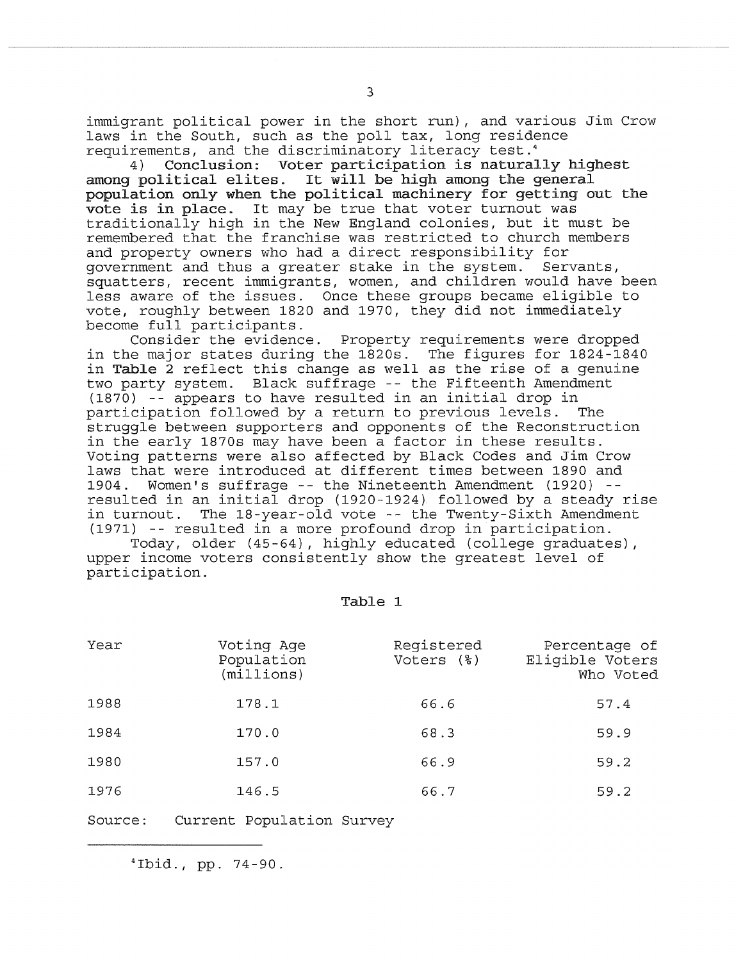immigrant political power in the short run), and various Jim Crow laws in the South, such as the poll tax, long residence requirements, and the discriminatory literacy test.4

4) Conclusion: Voter participation is naturally highest among political elites. It will be high among the general It will be high among the general population only when the political machinery for getting out the vote is in place. It may be true that voter turnout was traditionally high in the New England colonies, but it must be remembered that the franchise was restricted to church members and property owners who had a direct responsibility for government and thus a greater stake in the system. Servants, squatters, recent immigrants, women, and children would have been less aware of the issues. Once these groups became eligible to vote, roughly between 1820 and 1970, they did not immediately become full participants.

Consider the evidence. Property requirements were dropped in the major states during the 1820s. The figures for 1824-1840 in Table 2 reflect this change as well as the rise of a genuine two party system. Black suffrage -- the Fifteenth Amendment (1870) -- appears to have resulted in an initial drop in participation followed by a return to previous levels. struggle between supporters and opponents of the Reconstruction in the early 1870s may have been a factor in these results. Voting patterns were also affected by Black Codes and Jim Crow laws that were introduced at different times between 1890 and 1904. Women's suffrage -- the Nineteenth Amendment (1920) - resulted in an initial drop (1920-1924) followed by a steady rise in turnout. The 18-year-old vote -- the Twenty-Sixth Amendment (1971) -- resulted in a more profound drop in participation.

Today, older  $(45-64)$ , highly educated (college graduates), upper income voters consistently show the greatest level of participation.

#### Table 1

| Year | Voting Age<br>Population<br>(milllions) | Registered<br>Voters (%) | Percentage of<br>Eligible Voters<br>Who Voted |
|------|-----------------------------------------|--------------------------|-----------------------------------------------|
| 1988 | 178.1                                   | 66.6                     | 57.4                                          |
| 1984 | 170.0                                   | 68.3                     | 59.9                                          |
| 1980 | 157.0                                   | 66.9                     | 59.2                                          |
| 1976 | 146.5                                   | 66.7                     | 59.2                                          |

Source: Current Population Survey

4Ibid., pp. 74-90.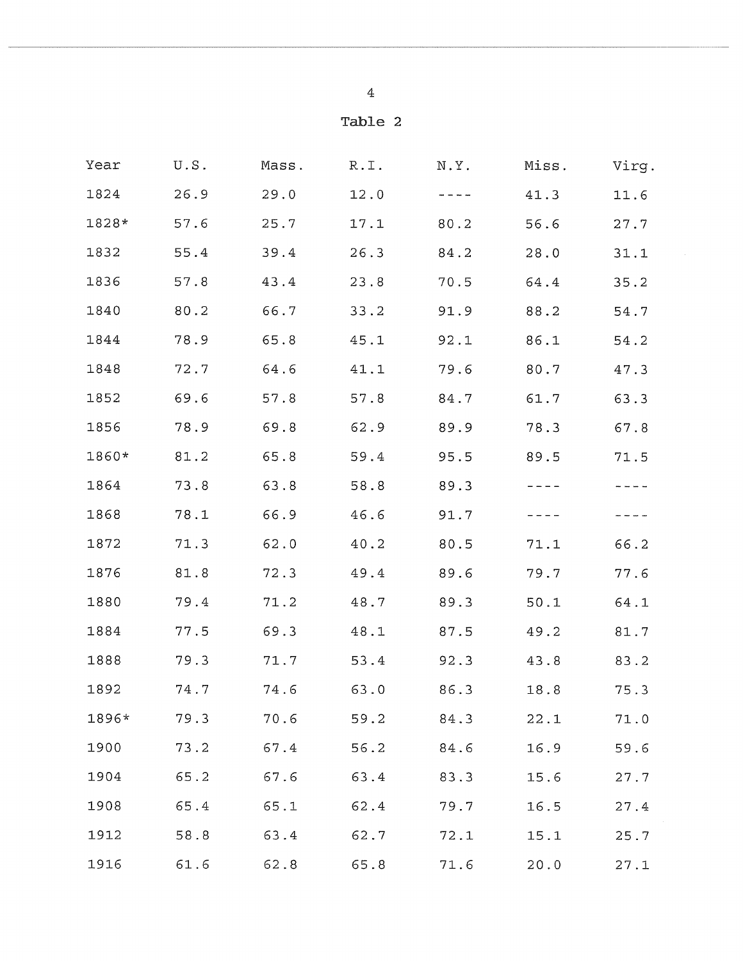$\bar{z}$ 

| Year  | U.S. | Mass. | R.I. | N.Y. | Miss. | Virg.    |
|-------|------|-------|------|------|-------|----------|
| 1824  | 26.9 | 29.0  | 12.0 |      | 41.3  | 11.6     |
| 1828* | 57.6 | 25.7  | 17.1 | 80.2 | 56.6  | 27.7     |
| 1832  | 55.4 | 39.4  | 26.3 | 84.2 | 28.0  | 31.1     |
| 1836  | 57.8 | 43.4  | 23.8 | 70.5 | 64.4  | 35.2     |
| 1840  | 80.2 | 66.7  | 33.2 | 91.9 | 88.2  | 54.7     |
| 1844  | 78.9 | 65.8  | 45.1 | 92.1 | 86.1  | 54.2     |
| 1848  | 72.7 | 64.6  | 41.1 | 79.6 | 80.7  | 47.3     |
| 1852  | 69.6 | 57.8  | 57.8 | 84.7 | 61.7  | 63.3     |
| 1856  | 78.9 | 69.8  | 62.9 | 89.9 | 78.3  | 67.8     |
| 1860* | 81.2 | 65.8  | 59.4 | 95.5 | 89.5  | 71.5     |
| 1864  | 73.8 | 63.8  | 58.8 | 89.3 |       | ----     |
| 1868  | 78.1 | 66.9  | 46.6 | 91.7 |       |          |
| 1872  | 71.3 | 62.0  | 40.2 | 80.5 | 71.1  | 66.2     |
| 1876  | 81.8 | 72.3  | 49.4 | 89.6 | 79.7  | 77.6     |
| 1880  | 79.4 | 71.2  | 48.7 | 89.3 | 50.1  | 64.1     |
| 1884  | 77.5 | 69.3  | 48.1 | 87.5 | 49.2  | 81.7     |
| 1888  | 79.3 | 71.7  | 53.4 | 92.3 | 43.8  | 83.2     |
| 1892  | 74.7 | 74.6  | 63.0 | 86.3 | 18.8  | 75.3     |
| 1896* | 79.3 | 70.6  | 59.2 | 84.3 | 22.1  | 71.0     |
| 1900  | 73.2 | 67.4  | 56.2 | 84.6 | 16.9  | 59.6     |
| 1904  | 65.2 | 67.6  | 63.4 | 83.3 | 15.6  | 27.7     |
| 1908  | 65.4 | 65.1  | 62.4 | 79.7 | 16.5  | $27\,.4$ |
| 1912  | 58.8 | 63.4  | 62.7 | 72.1 | 15.1  | 25.7     |
| 1916  | 61.6 | 62.8  | 65.8 | 71.6 | 20.0  | 27.1     |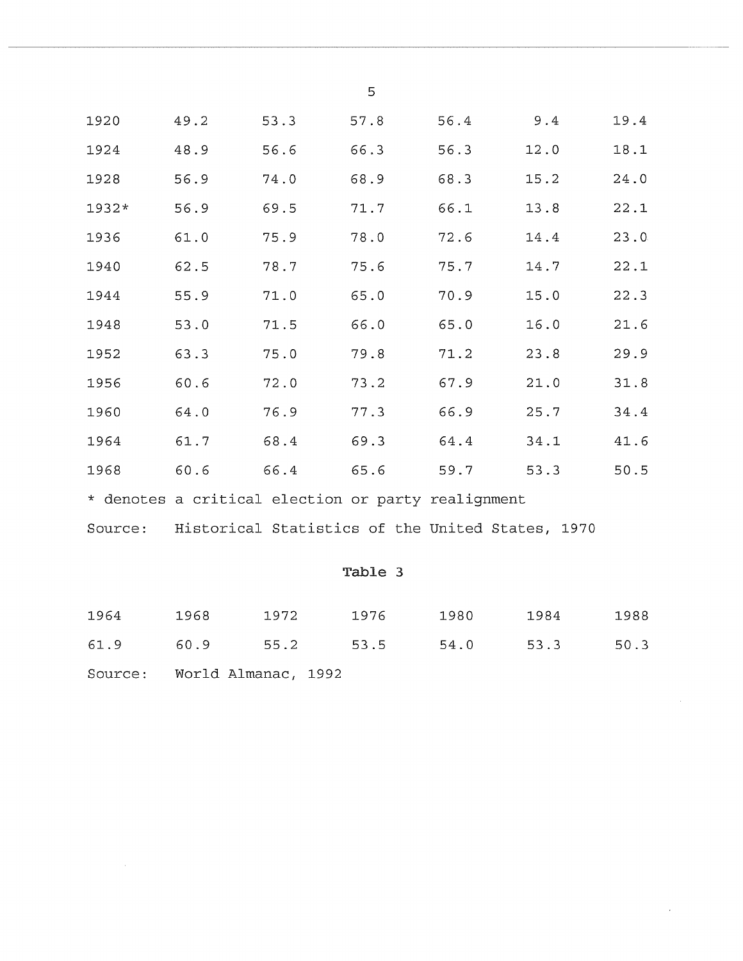|       |                                                                 |      | 5    |      |      |      |
|-------|-----------------------------------------------------------------|------|------|------|------|------|
| 1920  | 49.2                                                            | 53.3 | 57.8 | 56.4 | 9.4  | 19.4 |
| 1924  | 48.9                                                            | 56.6 | 66.3 | 56.3 | 12.0 | 18.1 |
| 1928  | 56.9                                                            | 74.0 | 68.9 | 68.3 | 15.2 | 24.0 |
| 1932* | 56.9                                                            | 69.5 | 71.7 | 66.1 | 13.8 | 22.1 |
| 1936  | 61.0                                                            | 75.9 | 78.0 | 72.6 | 14.4 | 23.0 |
| 1940  | 62.5                                                            | 78.7 | 75.6 | 75.7 | 14.7 | 22.1 |
| 1944  | 55.9                                                            | 71.0 | 65.0 | 70.9 | 15.0 | 22.3 |
| 1948  | 53.0                                                            | 71.5 | 66.0 | 65.0 | 16.0 | 21.6 |
| 1952  | 63.3                                                            | 75.0 | 79.8 | 71.2 | 23.8 | 29.9 |
| 1956  | 60.6                                                            | 72.0 | 73.2 | 67.9 | 21.0 | 31.8 |
| 1960  | 64.0                                                            | 76.9 | 77.3 | 66.9 | 25.7 | 34.4 |
| 1964  | 61.7                                                            | 68.4 | 69.3 | 64.4 | 34.1 | 41.6 |
| 1968  | 60.6                                                            | 66.4 | 65.6 | 59.7 | 53.3 | 50.5 |
|       | $\downarrow$ denotes a subset of a transferred and $\downarrow$ |      |      |      |      |      |

\* denotes a critical election or party realignment

Source: Historical Statistics of the United States, 1970

## Table 3

| 1964    | 1968                | 1972 | 1976 | 1980 | 1984 | 1988 |
|---------|---------------------|------|------|------|------|------|
| 61.9    | 60.9                | 55.2 | 53.5 | 54.0 | 53.3 | 50.3 |
| Source: | World Almanac, 1992 |      |      |      |      |      |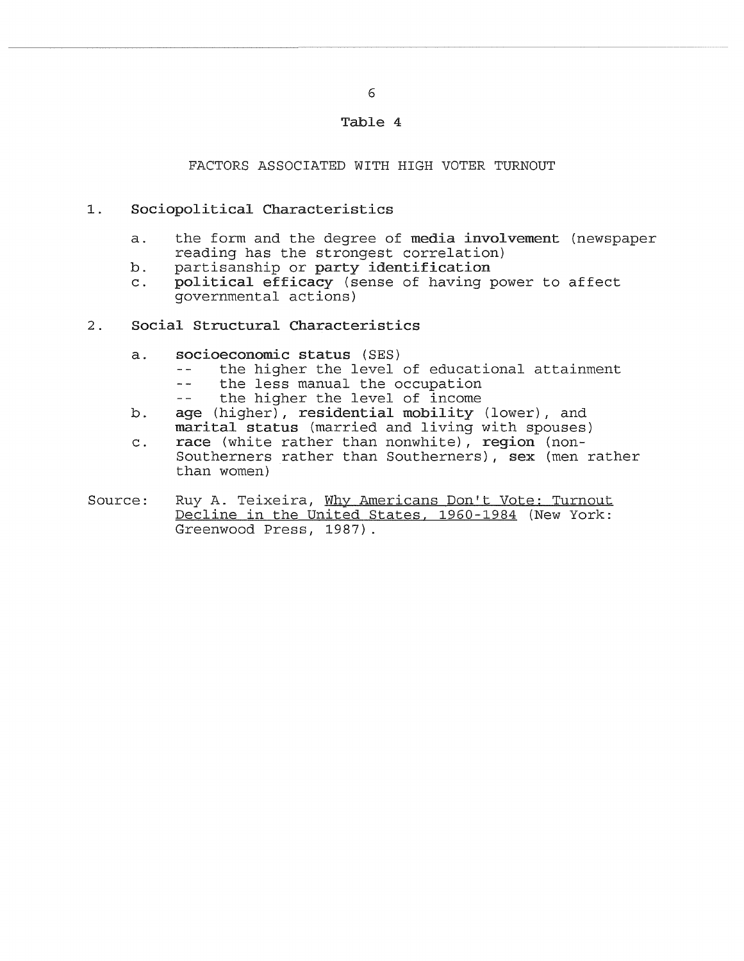### Table 4

#### FACTORS ASSOCIATED WITH HIGH VOTER TURNOUT

- 1. Sociopolitical Characteristics
	- a. the form and the degree of media involvement (newspaper reading has the strongest correlation)
	- b. partisanship or party identification<br>c. political efficacy (sense of having p
	- political efficacy (sense of having power to affect governmental actions)
- 2. Social Structural Characteristics
	- a. socioeconomic status (SES)
		- the higher the level of educational attainment
		- $$ the less manual the occupation
		- the higher the level of income  $-$
	- b. age (higher), residential mobility (lower), and marital status (married and living with spouses)
	- c. race (white rather than nonwhite), region (non-Southerners rather than Southerners), sex (men rather than women)
- Source: Ruy A. Teixeira, Why Americans Don't Vote: Turnout Decline in the United States, 1960-1984 (New York: Greenwood Press, 1987).